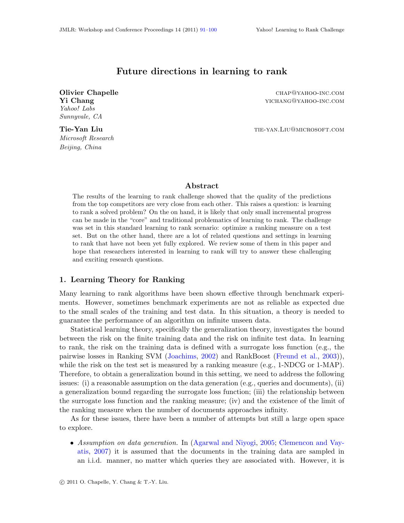# Future directions in learning to rank

<span id="page-0-0"></span>Yahoo! Labs Sunnyvale, CA

Olivier Chapelle chapelle chapelle chapelle chapelle chapelle chapelle chapelle chapelle chapelle chapelle chapelle Yi Chang yichang yichang yichang yichang yichang yichang yichang yichang yichang yichang yichang yichang yichang yichang yichang yichang yichang yichang yichang yichang yichang yichang yichang yichang yichang yichang yicha

Tie-Yan Liu tiese tiese tiese tiese tiese tiese tiese tiese tiese tiese tiese tiese tiese tiese tiese tiese tie

Microsoft Research Beijing, China

# Abstract

The results of the learning to rank challenge showed that the quality of the predictions from the top competitors are very close from each other. This raises a question: is learning to rank a solved problem? On the on hand, it is likely that only small incremental progress can be made in the "core" and traditional problematics of learning to rank. The challenge was set in this standard learning to rank scenario: optimize a ranking measure on a test set. But on the other hand, there are a lot of related questions and settings in learning to rank that have not been yet fully explored. We review some of them in this paper and hope that researchers interested in learning to rank will try to answer these challenging and exciting research questions.

#### 1. Learning Theory for Ranking

Many learning to rank algorithms have been shown effective through benchmark experiments. However, sometimes benchmark experiments are not as reliable as expected due to the small scales of the training and test data. In this situation, a theory is needed to guarantee the performance of an algorithm on infinite unseen data.

Statistical learning theory, specifically the generalization theory, investigates the bound between the risk on the finite training data and the risk on infinite test data. In learning to rank, the risk on the training data is defined with a surrogate loss function (e.g., the pairwise losses in Ranking SVM [\(Joachims,](#page-8-0) [2002\)](#page-8-0) and RankBoost [\(Freund et al.,](#page-8-1) [2003\)](#page-8-1)), while the risk on the test set is measured by a ranking measure (e.g., 1-NDCG or 1-MAP). Therefore, to obtain a generalization bound in this setting, we need to address the following issues: (i) a reasonable assumption on the data generation (e.g., queries and documents), (ii) a generalization bound regarding the surrogate loss function; (iii) the relationship between the surrogate loss function and the ranking measure; (iv) and the existence of the limit of the ranking measure when the number of documents approaches infinity.

As for these issues, there have been a number of attempts but still a large open space to explore.

• Assumption on data generation. In [\(Agarwal and Niyogi,](#page-7-0) [2005;](#page-7-0) [Clemencon and Vay](#page-8-2)[atis,](#page-8-2) [2007\)](#page-8-2) it is assumed that the documents in the training data are sampled in an i.i.d. manner, no matter which queries they are associated with. However, it is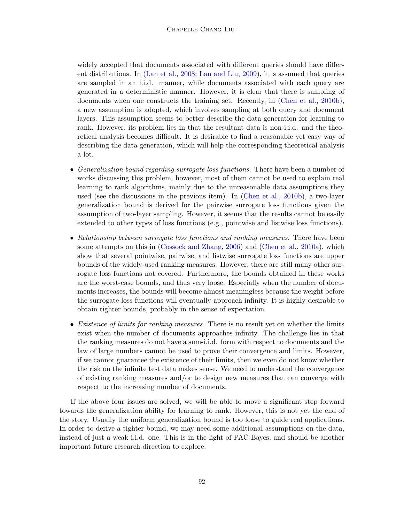widely accepted that documents associated with different queries should have different distributions. In [\(Lan et al.,](#page-9-1) [2008;](#page-9-1) [Lan and Liu,](#page-8-3) [2009\)](#page-8-3), it is assumed that queries are sampled in an i.i.d. manner, while documents associated with each query are generated in a deterministic manner. However, it is clear that there is sampling of documents when one constructs the training set. Recently, in [\(Chen et al.,](#page-8-4) [2010b\)](#page-8-4), a new assumption is adopted, which involves sampling at both query and document layers. This assumption seems to better describe the data generation for learning to rank. However, its problem lies in that the resultant data is non-i.i.d. and the theoretical analysis becomes difficult. It is desirable to find a reasonable yet easy way of describing the data generation, which will help the corresponding theoretical analysis a lot.

- Generalization bound regarding surrogate loss functions. There have been a number of works discussing this problem, however, most of them cannot be used to explain real learning to rank algorithms, mainly due to the unreasonable data assumptions they used (see the discussions in the previous item). In [\(Chen et al.,](#page-8-4) [2010b\)](#page-8-4), a two-layer generalization bound is derived for the pairwise surrogate loss functions given the assumption of two-layer sampling. However, it seems that the results cannot be easily extended to other types of loss functions (e.g., pointwise and listwise loss functions).
- Relationship between surrogate loss functions and ranking measures. There have been some attempts on this in [\(Cossock and Zhang,](#page-8-5) [2006\)](#page-8-5) and [\(Chen et al.,](#page-8-6) [2010a\)](#page-8-6), which show that several pointwise, pairwise, and listwise surrogate loss functions are upper bounds of the widely-used ranking measures. However, there are still many other surrogate loss functions not covered. Furthermore, the bounds obtained in these works are the worst-case bounds, and thus very loose. Especially when the number of documents increases, the bounds will become almost meaningless because the weight before the surrogate loss functions will eventually approach infinity. It is highly desirable to obtain tighter bounds, probably in the sense of expectation.
- Existence of limits for ranking measures. There is no result yet on whether the limits exist when the number of documents approaches infinity. The challenge lies in that the ranking measures do not have a sum-i.i.d. form with respect to documents and the law of large numbers cannot be used to prove their convergence and limits. However, if we cannot guarantee the existence of their limits, then we even do not know whether the risk on the infinite test data makes sense. We need to understand the convergence of existing ranking measures and/or to design new measures that can converge with respect to the increasing number of documents.

If the above four issues are solved, we will be able to move a significant step forward towards the generalization ability for learning to rank. However, this is not yet the end of the story. Usually the uniform generalization bound is too loose to guide real applications. In order to derive a tighter bound, we may need some additional assumptions on the data, instead of just a weak i.i.d. one. This is in the light of PAC-Bayes, and should be another important future research direction to explore.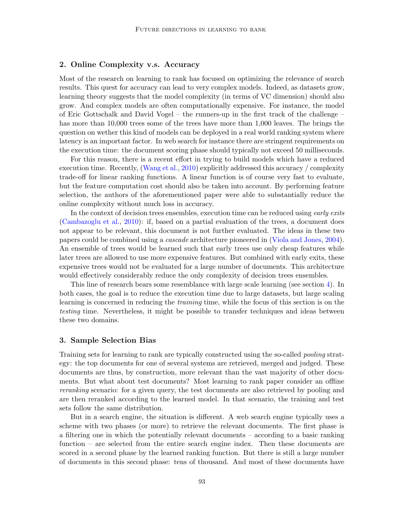### 2. Online Complexity v.s. Accuracy

Most of the research on learning to rank has focused on optimizing the relevance of search results. This quest for accuracy can lead to very complex models. Indeed, as datasets grow, learning theory suggests that the model complexity (in terms of VC dimension) should also grow. And complex models are often computationally expensive. For instance, the model of Eric Gottschalk and David Vogel – the runners-up in the first track of the challenge – has more than 10,000 trees some of the trees have more than 1,000 leaves. The brings the question on wether this kind of models can be deployed in a real world ranking system where latency is an important factor. In web search for instance there are stringent requirements on the execution time: the document scoring phase should typically not exceed 50 milliseconds.

For this reason, there is a recent effort in trying to build models which have a reduced execution time. Recently, [\(Wang et al.,](#page-9-2) [2010\)](#page-9-2) explicitly addressed this accuracy / complexity trade-off for linear ranking functions. A linear function is of course very fast to evaluate, but the feature computation cost should also be taken into account. By performing feature selection, the authors of the aforementioned paper were able to substantially reduce the online complexity without much loss in accuracy.

In the context of decision trees ensembles, execution time can be reduced using *early exits* [\(Cambazoglu et al.,](#page-7-1) [2010\)](#page-7-1): if, based on a partial evaluation of the trees, a document does not appear to be relevant, this document is not further evaluated. The ideas in these two papers could be combined using a cascade architecture pioneered in [\(Viola and Jones,](#page-9-3) [2004\)](#page-9-3). An ensemble of trees would be learned such that early trees use only cheap features while later trees are allowed to use more expensive features. But combined with early exits, these expensive trees would not be evaluated for a large number of documents. This architecture would effectively considerably reduce the only complexity of decision trees ensembles.

This line of research bears some resemblance with large scale learning (see section [4\)](#page-3-0). In both cases, the goal is to reduce the execution time due to large datasets, but large scaling learning is concerned in reducing the training time, while the focus of this section is on the testing time. Nevertheless, it might be possible to transfer techniques and ideas between these two domains.

#### <span id="page-2-0"></span>3. Sample Selection Bias

Training sets for learning to rank are typically constructed using the so-called pooling strategy: the top documents for one of several systems are retrieved, merged and judged. These documents are thus, by construction, more relevant than the vast majority of other documents. But what about test documents? Most learning to rank paper consider an offline reranking scenario: for a given query, the test documents are also retrieved by pooling and are then reranked according to the learned model. In that scenario, the training and test sets follow the same distribution.

But in a search engine, the situation is different. A web search engine typically uses a scheme with two phases (or more) to retrieve the relevant documents. The first phase is a filtering one in which the potentially relevant documents – according to a basic ranking function – are selected from the entire search engine index. Then these documents are scored in a second phase by the learned ranking function. But there is still a large number of documents in this second phase: tens of thousand. And most of these documents have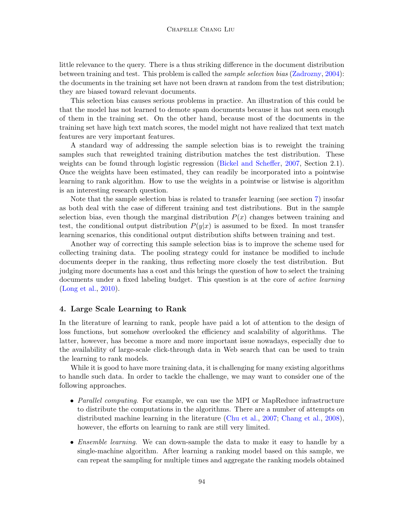little relevance to the query. There is a thus striking difference in the document distribution between training and test. This problem is called the sample selection bias [\(Zadrozny,](#page-9-4) [2004\)](#page-9-4): the documents in the training set have not been drawn at random from the test distribution; they are biased toward relevant documents.

This selection bias causes serious problems in practice. An illustration of this could be that the model has not learned to demote spam documents because it has not seen enough of them in the training set. On the other hand, because most of the documents in the training set have high text match scores, the model might not have realized that text match features are very important features.

A standard way of addressing the sample selection bias is to reweight the training samples such that reweighted training distribution matches the test distribution. These weights can be found through logistic regression [\(Bickel and Scheffer,](#page-7-2) [2007,](#page-7-2) Section 2.1). Once the weights have been estimated, they can readily be incorporated into a pointwise learning to rank algorithm. How to use the weights in a pointwise or listwise is algorithm is an interesting research question.

Note that the sample selection bias is related to transfer learning (see section [7\)](#page-5-0) insofar as both deal with the case of different training and test distributions. But in the sample selection bias, even though the marginal distribution  $P(x)$  changes between training and test, the conditional output distribution  $P(y|x)$  is assumed to be fixed. In most transfer learning scenarios, this conditional output distribution shifts between training and test.

Another way of correcting this sample selection bias is to improve the scheme used for collecting training data. The pooling strategy could for instance be modified to include documents deeper in the ranking, thus reflecting more closely the test distribution. But judging more documents has a cost and this brings the question of how to select the training documents under a fixed labeling budget. This question is at the core of *active learning* [\(Long et al.,](#page-9-5) [2010\)](#page-9-5).

# <span id="page-3-0"></span>4. Large Scale Learning to Rank

In the literature of learning to rank, people have paid a lot of attention to the design of loss functions, but somehow overlooked the efficiency and scalability of algorithms. The latter, however, has become a more and more important issue nowadays, especially due to the availability of large-scale click-through data in Web search that can be used to train the learning to rank models.

While it is good to have more training data, it is challenging for many existing algorithms to handle such data. In order to tackle the challenge, we may want to consider one of the following approaches.

- *Parallel computing.* For example, we can use the MPI or MapReduce infrastructure to distribute the computations in the algorithms. There are a number of attempts on distributed machine learning in the literature [\(Chu et al.,](#page-8-7) [2007;](#page-8-7) [Chang et al.,](#page-8-8) [2008\)](#page-8-8), however, the efforts on learning to rank are still very limited.
- Ensemble learning. We can down-sample the data to make it easy to handle by a single-machine algorithm. After learning a ranking model based on this sample, we can repeat the sampling for multiple times and aggregate the ranking models obtained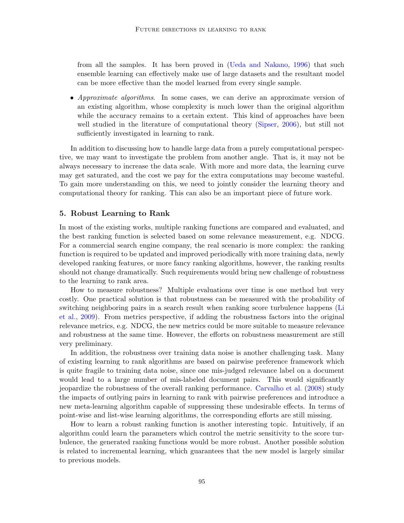from all the samples. It has been proved in [\(Ueda and Nakano,](#page-9-6) [1996\)](#page-9-6) that such ensemble learning can effectively make use of large datasets and the resultant model can be more effective than the model learned from every single sample.

• Approximate algorithms. In some cases, we can derive an approximate version of an existing algorithm, whose complexity is much lower than the original algorithm while the accuracy remains to a certain extent. This kind of approaches have been well studied in the literature of computational theory [\(Sipser,](#page-9-7) [2006\)](#page-9-7), but still not sufficiently investigated in learning to rank.

In addition to discussing how to handle large data from a purely computational perspective, we may want to investigate the problem from another angle. That is, it may not be always necessary to increase the data scale. With more and more data, the learning curve may get saturated, and the cost we pay for the extra computations may become wasteful. To gain more understanding on this, we need to jointly consider the learning theory and computational theory for ranking. This can also be an important piece of future work.

### 5. Robust Learning to Rank

In most of the existing works, multiple ranking functions are compared and evaluated, and the best ranking function is selected based on some relevance measurement, e.g. NDCG. For a commercial search engine company, the real scenario is more complex: the ranking function is required to be updated and improved periodically with more training data, newly developed ranking features, or more fancy ranking algorithms, however, the ranking results should not change dramatically. Such requirements would bring new challenge of robustness to the learning to rank area.

How to measure robustness? Multiple evaluations over time is one method but very costly. One practical solution is that robustness can be measured with the probability of switching neighboring pairs in a search result when ranking score turbulence happens [\(Li](#page-9-8) [et al.,](#page-9-8) [2009\)](#page-9-8). From metrics perspective, if adding the robustness factors into the original relevance metrics, e.g. NDCG, the new metrics could be more suitable to measure relevance and robustness at the same time. However, the efforts on robustness measurement are still very preliminary.

In addition, the robustness over training data noise is another challenging task. Many of existing learning to rank algorithms are based on pairwise preference framework which is quite fragile to training data noise, since one mis-judged relevance label on a document would lead to a large number of mis-labeled document pairs. This would significantly jeopardize the robustness of the overall ranking performance. [Carvalho et al.](#page-7-3) [\(2008\)](#page-7-3) study the impacts of outlying pairs in learning to rank with pairwise preferences and introduce a new meta-learning algorithm capable of suppressing these undesirable effects. In terms of point-wise and list-wise learning algorithms, the corresponding efforts are still missing.

How to learn a robust ranking function is another interesting topic. Intuitively, if an algorithm could learn the parameters which control the metric sensitivity to the score turbulence, the generated ranking functions would be more robust. Another possible solution is related to incremental learning, which guarantees that the new model is largely similar to previous models.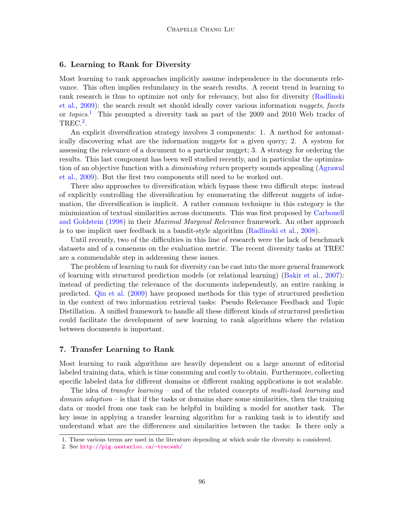# 6. Learning to Rank for Diversity

Most learning to rank approaches implicitly assume independence in the documents relevance. This often implies redundancy in the search results. A recent trend in learning to rank research is thus to optimize not only for relevancy, but also for diversity [\(Radlinski](#page-9-9) [et al.,](#page-9-9) [2009\)](#page-9-9): the search result set should ideally cover various information nuggets, facets or *topics*.<sup>[1](#page-5-1)</sup> This prompted a diversity task as part of the 2009 and 2010 Web tracks of TREC.[2](#page-5-2) .

An explicit diversification strategy involves 3 components: 1. A method for automatically discovering what are the information nuggets for a given query; 2. A system for assessing the relevance of a document to a particular nugget; 3. A strategy for ordering the results. This last component has been well studied recently, and in particular the optimization of an objective function with a *diminishing return* property sounds appealing [\(Agrawal](#page-7-4) [et al.,](#page-7-4) [2009\)](#page-7-4). But the first two components still need to be worked out.

There also approaches to diversification which bypass these two difficult steps: instead of explicitly controlling the diversification by enumerating the different nuggets of information, the diversification is implicit. A rather common technique in this category is the minimization of textual similarities across documents. This was first proposed by [Carbonell](#page-7-5) [and Goldstein](#page-7-5) [\(1998\)](#page-7-5) in their Maximal Marginal Relevance framework. An other approach is to use implicit user feedback in a bandit-style algorithm [\(Radlinski et al.,](#page-9-10) [2008\)](#page-9-10).

Until recently, two of the difficulties in this line of research were the lack of benchmark datasets and of a consensus on the evaluation metric. The recent diversity tasks at TREC are a commendable step in addressing these issues.

The problem of learning to rank for diversity can be cast into the more general framework of learning with structured prediction models (or relational learning) [\(Bakir et al.,](#page-7-6) [2007\)](#page-7-6): instead of predicting the relevance of the documents independently, an entire ranking is predicted. [Qin et al.](#page-9-11) [\(2009\)](#page-9-11) have proposed methods for this type of structured prediction in the context of two information retrieval tasks: Pseudo Relevance Feedback and Topic Distillation. A unified framework to handle all these different kinds of structured prediction could facilitate the development of new learning to rank algorithms where the relation between documents is important.

#### <span id="page-5-0"></span>7. Transfer Learning to Rank

Most learning to rank algorithms are heavily dependent on a large amount of editorial labeled training data, which is time consuming and costly to obtain. Furthermore, collecting specific labeled data for different domains or different ranking applications is not scalable.

The idea of transfer learning – and of the related concepts of multi-task learning and  $domain\ adaptation - is that if the tasks or domains share some similarities, then the training$ data or model from one task can be helpful in building a model for another task. The key issue in applying a transfer learning algorithm for a ranking task is to identify and understand what are the differences and similarities between the tasks: Is there only a

<span id="page-5-1"></span><sup>1.</sup> These various terms are used in the literature depending at which scale the diversity is considered.

<span id="page-5-2"></span><sup>2.</sup> See <http://plg.uwaterloo.ca/~trecweb/>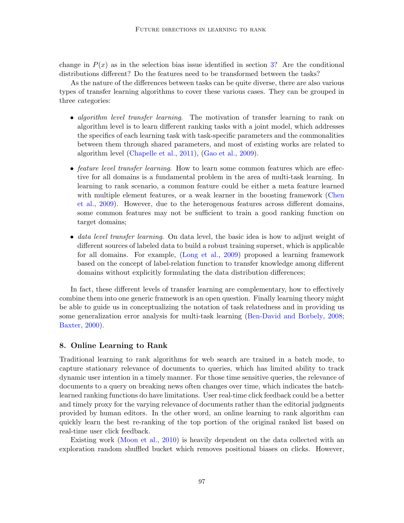change in  $P(x)$  as in the selection bias issue identified in section [3?](#page-2-0) Are the conditional distributions different? Do the features need to be transformed between the tasks?

As the nature of the differences between tasks can be quite diverse, there are also various types of transfer learning algorithms to cover these various cases. They can be grouped in three categories:

- algorithm level transfer learning. The motivation of transfer learning to rank on algorithm level is to learn different ranking tasks with a joint model, which addresses the specifics of each learning task with task-specific parameters and the commonalities between them through shared parameters, and most of existing works are related to algorithm level [\(Chapelle et al.,](#page-8-9) [2011\)](#page-8-9), [\(Gao et al.,](#page-8-10) [2009\)](#page-8-10).
- *feature level transfer learning*. How to learn some common features which are effective for all domains is a fundamental problem in the area of multi-task learning. In learning to rank scenario, a common feature could be either a meta feature learned with multiple element features, or a weak learner in the boosting framework [\(Chen](#page-8-11) [et al.,](#page-8-11) [2009\)](#page-8-11). However, due to the heterogenous features across different domains, some common features may not be sufficient to train a good ranking function on target domains;
- *data level transfer learning*. On data level, the basic idea is how to adjust weight of different sources of labeled data to build a robust training superset, which is applicable for all domains. For example, [\(Long et al.,](#page-9-12) [2009\)](#page-9-12) proposed a learning framework based on the concept of label-relation function to transfer knowledge among different domains without explicitly formulating the data distribution differences;

In fact, these different levels of transfer learning are complementary, how to effectively combine them into one generic framework is an open question. Finally learning theory might be able to guide us in conceptualizing the notation of task relatedness and in providing us some generalization error analysis for multi-task learning [\(Ben-David and Borbely,](#page-7-7) [2008;](#page-7-7) [Baxter,](#page-7-8) [2000\)](#page-7-8).

### 8. Online Learning to Rank

Traditional learning to rank algorithms for web search are trained in a batch mode, to capture stationary relevance of documents to queries, which has limited ability to track dynamic user intention in a timely manner. For those time sensitive queries, the relevance of documents to a query on breaking news often changes over time, which indicates the batchlearned ranking functions do have limitations. User real-time click feedback could be a better and timely proxy for the varying relevance of documents rather than the editorial judgments provided by human editors. In the other word, an online learning to rank algorithm can quickly learn the best re-ranking of the top portion of the original ranked list based on real-time user click feedback.

Existing work [\(Moon et al.,](#page-9-13) [2010\)](#page-9-13) is heavily dependent on the data collected with an exploration random shuffled bucket which removes positional biases on clicks. However,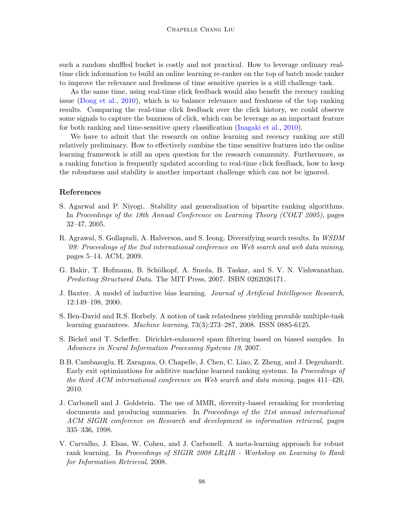such a random shuffled bucket is costly and not practical. How to leverage ordinary realtime click information to build an online learning re-ranker on the top of batch mode ranker to improve the relevance and freshness of time sensitive queries is a still challenge task.

As the same time, using real-time click feedback would also benefit the recency ranking issue [\(Dong et al.,](#page-8-12) [2010\)](#page-8-12), which is to balance relevance and freshness of the top ranking results. Comparing the real-time click feedback over the click history, we could observe some signals to capture the buzzness of click, which can be leverage as an important feature for both ranking and time-sensitive query classification [\(Inagaki et al.,](#page-8-13) [2010\)](#page-8-13).

We have to admit that the research on online learning and recency ranking are still relatively preliminary. How to effectively combine the time sensitive features into the online learning framework is still an open question for the research community. Furthermore, as a ranking function is frequently updated according to real-time click feedback, how to keep the robustness and stability is another important challenge which can not be ignored.

# References

- <span id="page-7-0"></span>S. Agarwal and P. Niyogi. Stability and generalization of bipartite ranking algorithms. In Proceedings of the 18th Annual Conference on Learning Theory (COLT 2005), pages 32–47, 2005.
- <span id="page-7-4"></span>R. Agrawal, S. Gollapudi, A. Halverson, and S. Ieong. Diversifying search results. In WSDM '09: Proceedings of the 2nd international conference on Web search and web data mining, pages 5–14. ACM, 2009.
- <span id="page-7-6"></span>G. Bakir, T. Hofmann, B. Schölkopf, A. Smola, B. Taskar, and S. V. N. Vishwanathan. Predicting Structured Data. The MIT Press, 2007. ISBN 0262026171.
- <span id="page-7-8"></span>J. Baxter. A model of inductive bias learning. Journal of Artificial Intelligence Research, 12:149–198, 2000.
- <span id="page-7-7"></span>S. Ben-David and R.S. Borbely. A notion of task relatedness yielding provable multiple-task learning guarantees. Machine learning, 73(3):273–287, 2008. ISSN 0885-6125.
- <span id="page-7-2"></span>S. Bickel and T. Scheffer. Dirichlet-enhanced spam filtering based on biased samples. In Advances in Neural Information Processing Systems 19, 2007.
- <span id="page-7-1"></span>B.B. Cambazoglu, H. Zaragoza, O. Chapelle, J. Chen, C. Liao, Z. Zheng, and J. Degenhardt. Early exit optimizations for additive machine learned ranking systems. In Proceedings of the third ACM international conference on Web search and data mining, pages 411–420, 2010.
- <span id="page-7-5"></span>J. Carbonell and J. Goldstein. The use of MMR, diversity-based reranking for reordering documents and producing summaries. In Proceedings of the 21st annual international ACM SIGIR conference on Research and development in information retrieval, pages 335–336, 1998.
- <span id="page-7-3"></span>V. Carvalho, J. Elsas, W. Cohen, and J. Carbonell. A meta-learning approach for robust rank learning. In Proceedings of SIGIR 2008 LR4IR - Workshop on Learning to Rank for Information Retrieval, 2008.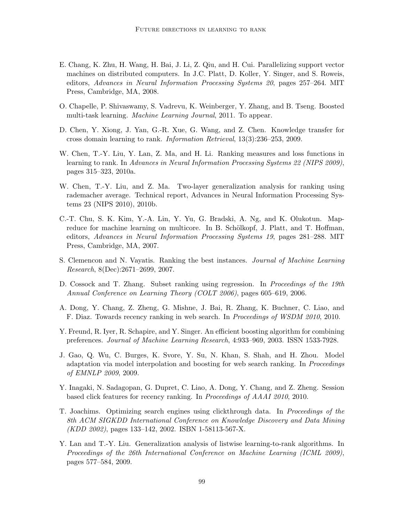- <span id="page-8-8"></span>E. Chang, K. Zhu, H. Wang, H. Bai, J. Li, Z. Qiu, and H. Cui. Parallelizing support vector machines on distributed computers. In J.C. Platt, D. Koller, Y. Singer, and S. Roweis, editors, Advances in Neural Information Processing Systems 20, pages 257–264. MIT Press, Cambridge, MA, 2008.
- <span id="page-8-9"></span>O. Chapelle, P. Shivaswamy, S. Vadrevu, K. Weinberger, Y. Zhang, and B. Tseng. Boosted multi-task learning. Machine Learning Journal, 2011. To appear.
- <span id="page-8-11"></span>D. Chen, Y. Xiong, J. Yan, G.-R. Xue, G. Wang, and Z. Chen. Knowledge transfer for cross domain learning to rank. Information Retrieval, 13(3):236–253, 2009.
- <span id="page-8-6"></span>W. Chen, T.-Y. Liu, Y. Lan, Z. Ma, and H. Li. Ranking measures and loss functions in learning to rank. In Advances in Neural Information Processing Systems 22 (NIPS 2009), pages 315–323, 2010a.
- <span id="page-8-4"></span>W. Chen, T.-Y. Liu, and Z. Ma. Two-layer generalization analysis for ranking using rademacher average. Technical report, Advances in Neural Information Processing Systems 23 (NIPS 2010), 2010b.
- <span id="page-8-7"></span>C.-T. Chu, S. K. Kim, Y.-A. Lin, Y. Yu, G. Bradski, A. Ng, and K. Olukotun. Mapreduce for machine learning on multicore. In B. Schölkopf, J. Platt, and T. Hoffman, editors, Advances in Neural Information Processing Systems 19, pages 281–288. MIT Press, Cambridge, MA, 2007.
- <span id="page-8-2"></span>S. Clemencon and N. Vayatis. Ranking the best instances. *Journal of Machine Learning* Research, 8(Dec):2671–2699, 2007.
- <span id="page-8-5"></span>D. Cossock and T. Zhang. Subset ranking using regression. In *Proceedings of the 19th* Annual Conference on Learning Theory (COLT 2006), pages 605–619, 2006.
- <span id="page-8-12"></span>A. Dong, Y. Chang, Z. Zheng, G. Mishne, J. Bai, R. Zhang, K. Buchner, C. Liao, and F. Diaz. Towards recency ranking in web search. In Proceedings of WSDM 2010, 2010.
- <span id="page-8-1"></span>Y. Freund, R. Iyer, R. Schapire, and Y. Singer. An efficient boosting algorithm for combining preferences. Journal of Machine Learning Research, 4:933–969, 2003. ISSN 1533-7928.
- <span id="page-8-10"></span>J. Gao, Q. Wu, C. Burges, K. Svore, Y. Su, N. Khan, S. Shah, and H. Zhou. Model adaptation via model interpolation and boosting for web search ranking. In *Proceedings* of EMNLP 2009, 2009.
- <span id="page-8-13"></span>Y. Inagaki, N. Sadagopan, G. Dupret, C. Liao, A. Dong, Y. Chang, and Z. Zheng. Session based click features for recency ranking. In Proceedings of AAAI 2010, 2010.
- <span id="page-8-0"></span>T. Joachims. Optimizing search engines using clickthrough data. In Proceedings of the 8th ACM SIGKDD International Conference on Knowledge Discovery and Data Mining (KDD 2002), pages 133–142, 2002. ISBN 1-58113-567-X.
- <span id="page-8-3"></span>Y. Lan and T.-Y. Liu. Generalization analysis of listwise learning-to-rank algorithms. In Proceedings of the 26th International Conference on Machine Learning (ICML 2009), pages 577–584, 2009.